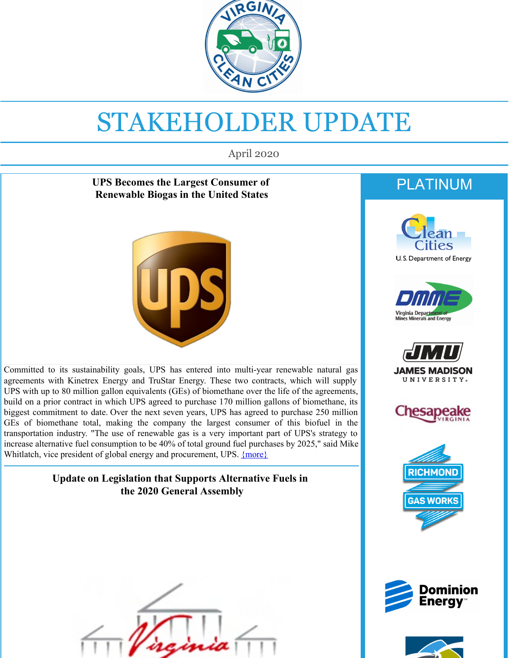

# STAKEHOLDER UPDATE

April 2020

#### **UPS Becomes the Largest Consumer of Renewable Biogas in the United States**



Committed to its sustainability goals, UPS has entered into multi-year renewable natural gas agreements with Kinetrex Energy and TruStar Energy. These two contracts, which will supply UPS with up to 80 million gallon equivalents (GEs) of biomethane over the life of the agreements, build on a prior contract in which UPS agreed to purchase 170 million gallons of biomethane, its biggest commitment to date. Over the next seven years, UPS has agreed to purchase 250 million GEs of biomethane total, making the company the largest consumer of this biofuel in the transportation industry. "The use of renewable gas is a very important part of UPS's strategy to increase alternative fuel consumption to be 40% of total ground fuel purchases by 2025," said Mike Whitlatch, vice president of global energy and procurement, UPS. **[{more}](http://vacleancities.org/ups-the-largest-consumer-of-biogas-in-the-transportation-industry/?utm_source=April+2020+stakeholder+update&utm_campaign=April+2020+Stakeholder&utm_medium=email)** 

#### **Update on Legislation that Supports Alternative Fuels in the 2020 General Assembly**



## PLATINUM













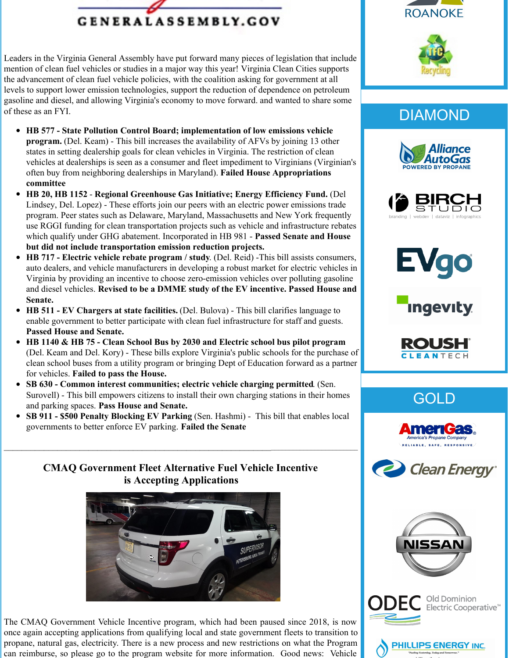

Leaders in the Virginia General Assembly have put forward many pieces of legislation that include mention of clean fuel vehicles or studies in a major way this year! Virginia Clean Cities supports the advancement of clean fuel vehicle policies, with the coalition asking for government at all levels to support lower emission technologies, support the reduction of dependence on petroleum gasoline and diesel, and allowing Virginia's economy to move forward. and wanted to share some of these as an FYI.

- **HB 577 - State Pollution Control Board; implementation of low emissions vehicle program.** (Del. Keam) - This bill increases the availability of AFVs by joining 13 other states in setting dealership goals for clean vehicles in Virginia. The restriction of clean vehicles at dealerships is seen as a consumer and fleet impediment to Virginians (Virginian's often buy from neighboring dealerships in Maryland). **Failed House Appropriations committee**
- $\bullet$ **HB 20, HB 1152** - **Regional Greenhouse Gas Initiative; Energy Efficiency Fund.** (Del Lindsey, Del. Lopez) - These efforts join our peers with an electric power emissions trade program. Peer states such as Delaware, Maryland, Massachusetts and New York frequently use RGGI funding for clean transportation projects such as vehicle and infrastructure rebates which qualify under GHG abatement. Incorporated in HB 981 - **Passed Senate and House but did not include transportation emission reduction projects.**
- $\bullet$ **HB 717 - Electric vehicle rebate program / study**. (Del. Reid) -This bill assists consumers, auto dealers, and vehicle manufacturers in developing a robust market for electric vehicles in Virginia by providing an incentive to choose zero-emission vehicles over polluting gasoline and diesel vehicles. **Revised to be a DMME study of the EV incentive. Passed House and Senate.**
- **HB 511 - EV Chargers at state facilities.** (Del. Bulova) This bill clarifies language to enable government to better participate with clean fuel infrastructure for staff and guests. **Passed House and Senate.**
- **HB 1140 & HB 75 - Clean School Bus by 2030 and Electric school bus pilot program** (Del. Keam and Del. Kory) - These bills explore Virginia's public schools for the purchase of clean school buses from a utility program or bringing Dept of Education forward as a partner for vehicles. **Failed to pass the House.**
- **SB 630 - Common interest communities; electric vehicle charging permitted**. (Sen.  $\bullet$ Surovell) - This bill empowers citizens to install their own charging stations in their homes and parking spaces. **Pass House and Senate.**
- **SB 911 - \$500 Penalty Blocking EV Parking** (Sen. Hashmi) This bill that enables local governments to better enforce EV parking. **Failed the Senate**

#### **CMAQ Government Fleet Alternative Fuel Vehicle Incentive is Accepting Applications**



The CMAQ Government Vehicle Incentive program, which had been paused since 2018, is now once again accepting applications from qualifying local and state government fleets to transition to propane, natural gas, electricity. There is a new process and new restrictions on what the Program can reimburse, so please go to the program website for more information. Good news: Vehicle





## DIAMOND











## GOLD







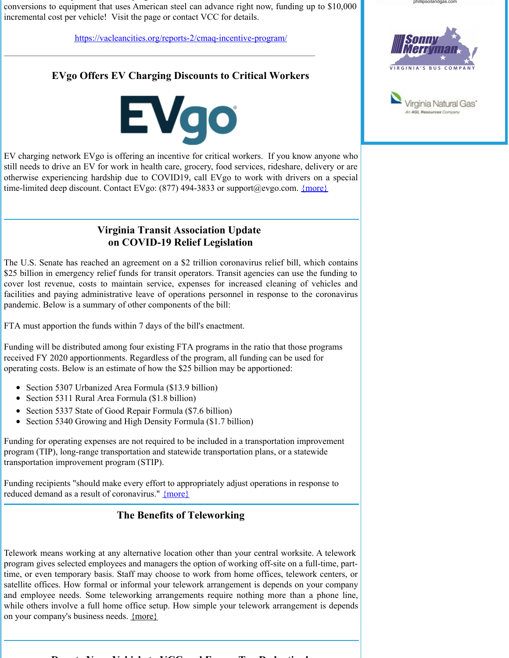can reimburse, so please go to the program website for more information. Good news: Vehicle conversions to equipment that uses American steel can advance right now, funding up to \$10,000 incremental cost per vehicle! Visit the page or contact VCC for details.

[https://vacleancities.org/reports-2/cmaq-incentive-program/](https://vacleancities.org/reports-2/cmaq-incentive-program/?utm_source=April+2020+stakeholder+update&utm_campaign=April+2020+Stakeholder&utm_medium=email)

#### **EVgo Offers EV Charging Discounts to Critical Workers**



EV charging network EVgo is offering an incentive for critical workers. If you know anyone who still needs to drive an EV for work in health care, grocery, food services, rideshare, delivery or are otherwise experiencing hardship due to COVID19, call EVgo to work with drivers on a special time-limited deep discount. Contact EVgo: (877) 494-3833 or support@evgo.com. [{more}](http://vacleancities.org/evgo-is-offering-charging-discounts-to-critical-workers/?utm_source=April+2020+stakeholder+update&utm_campaign=April+2020+Stakeholder&utm_medium=email)

#### **Virginia Transit Association Update on COVID-19 Relief Legislation**

The U.S. Senate has reached an agreement on a \$2 trillion coronavirus relief bill, which contains \$25 billion in emergency relief funds for transit operators. Transit agencies can use the funding to cover lost revenue, costs to maintain service, expenses for increased cleaning of vehicles and facilities and paying administrative leave of operations personnel in response to the coronavirus pandemic. Below is a summary of other components of the bill:

FTA must apportion the funds within 7 days of the bill's enactment.

Funding will be distributed among four existing FTA programs in the ratio that those programs received FY 2020 apportionments. Regardless of the program, all funding can be used for operating costs. Below is an estimate of how the \$25 billion may be apportioned:

- Section 5307 Urbanized Area Formula (\$13.9 billion)
- Section 5311 Rural Area Formula (\$1.8 billion)
- Section 5337 State of Good Repair Formula (\$7.6 billion)
- Section 5340 Growing and High Density Formula (\$1.7 billion)

Funding for operating expenses are not required to be included in a transportation improvement program (TIP), long-range transportation and statewide transportation plans, or a statewide transportation improvement program (STIP).

Funding recipients "should make every effort to appropriately adjust operations in response to reduced demand as a result of coronavirus." [{more}](https://www.apta.com/public-transit-response-to-coronavirus/?utm_source=April+2020+stakeholder+update&utm_campaign=April+2020+Stakeholder&utm_medium=email)

#### **The Benefits of Teleworking**

Telework means working at any alternative location other than your central worksite. A telework program gives selected employees and managers the option of working off-site on a full-time, parttime, or even temporary basis. Staff may choose to work from home offices, telework centers, or satellite offices. How formal or informal your telework arrangement is depends on your company and employee needs. Some teleworking arrangements require nothing more than a phone line, while others involve a full home office setup. How simple your telework arrangement is depends on your company's business needs. [{more}](http://vacleancities.org/teleworking-and-its-benefits/?utm_source=April+2020+stakeholder+update&utm_campaign=April+2020+Stakeholder&utm_medium=email)





phillipsoilandgas.com

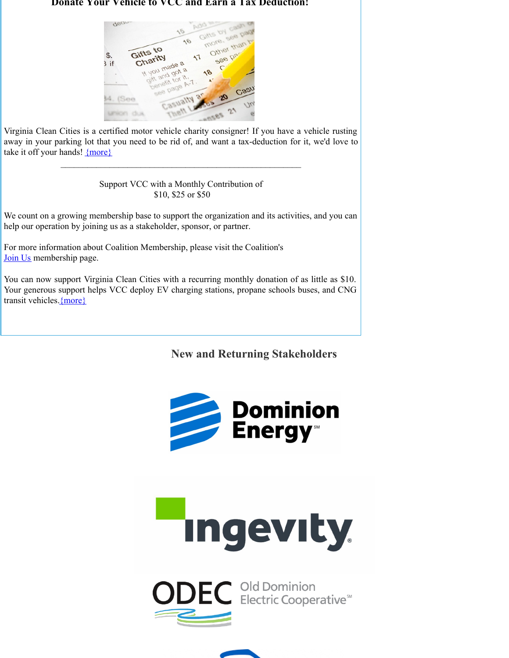#### **Donate Your Vehicle to VCC and Earn a Tax Deduction!**



Virginia Clean Cities is a certified motor vehicle charity consigner! If you have a vehicle rusting away in your parking lot that you need to be rid of, and want a tax-deduction for it, we'd love to take it off your hands! [{more}](http://www.vacleancities.org/news/donate-your-vehicle-to-virginia-clean-cities-and-earn-a-tax-deduction/?utm_source=April+2020+stakeholder+update&utm_campaign=April+2020+Stakeholder&utm_medium=email)

 $\mathcal{L}_\text{max}$  and the contract of the contract of the contract of the contract of the contract of the contract of the contract of the contract of the contract of the contract of the contract of the contract of the contrac

#### Support VCC with a Monthly Contribution of \$10, \$25 or \$50

We count on a growing membership base to support the organization and its activities, and you can help our operation by joining us as a stakeholder, sponsor, or partner.

For more information about Coalition Membership, please visit the Coalition's [Join](http://www.vacleancities.org/get-involved/join-us/?utm_source=April+2020+stakeholder+update&utm_campaign=April+2020+Stakeholder&utm_medium=email) Us membership page.

You can now support Virginia Clean Cities with a recurring monthly donation of as little as \$10. Your generous support helps VCC deploy EV charging stations, propane schools buses, and CNG transit vehicles[.{more}](http://www.vacleancities.org/about/join-us/?utm_source=April+2020+stakeholder+update&utm_campaign=April+2020+Stakeholder&utm_medium=email)

#### **New and Returning Stakeholders**